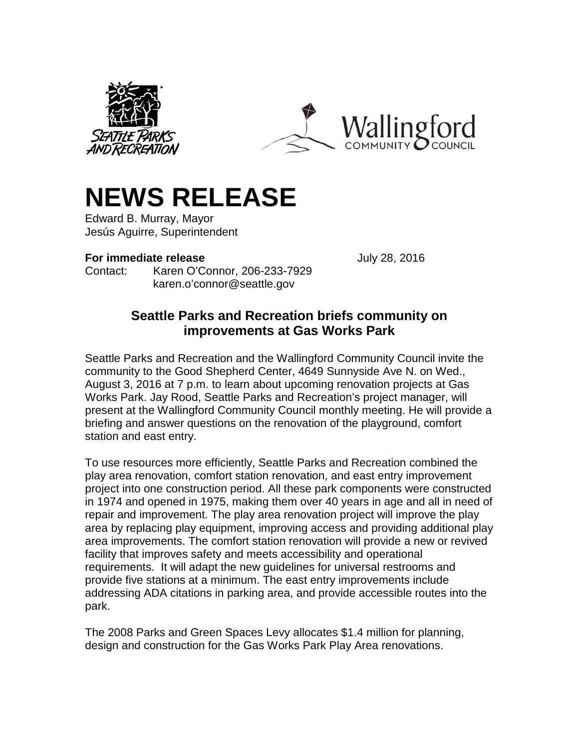



## **NEWS RELEASE**

Edward B. Murray, Mayor Jesús Aguirre, Superintendent

## **For immediate release** July 28, 2016

Contact: Karen O'Connor, 206-233-7929 karen.o'connor@seattle.gov

## **Seattle Parks and Recreation briefs community on improvements at Gas Works Park**

Seattle Parks and Recreation and the Wallingford Community Council invite the community to the Good Shepherd Center, 4649 Sunnyside Ave N. on Wed., August 3, 2016 at 7 p.m. to learn about upcoming renovation projects at Gas Works Park. Jay Rood, Seattle Parks and Recreation's project manager, will present at the Wallingford Community Council monthly meeting. He will provide a briefing and answer questions on the renovation of the playground, comfort station and east entry.

To use resources more efficiently, Seattle Parks and Recreation combined the play area renovation, comfort station renovation, and east entry improvement project into one construction period. All these park components were constructed in 1974 and opened in 1975, making them over 40 years in age and all in need of repair and improvement. The play area renovation project will improve the play area by replacing play equipment, improving access and providing additional play area improvements. The comfort station renovation will provide a new or revived facility that improves safety and meets accessibility and operational requirements. It will adapt the new guidelines for universal restrooms and provide five stations at a minimum. The east entry improvements include addressing ADA citations in parking area, and provide accessible routes into the park.

The 2008 Parks and Green Spaces Levy allocates \$1.4 million for planning, design and construction for the Gas Works Park Play Area renovations.